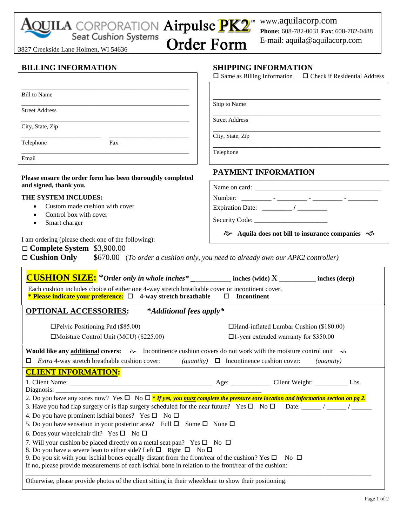| Seat Cusnion Systems<br>3827 Creekside Lane Holmen, WI 54636                                                                                                                                                                  | E-mail: aquila@aquilacorp.com<br><b>Order Form</b>                                                       |  |  |
|-------------------------------------------------------------------------------------------------------------------------------------------------------------------------------------------------------------------------------|----------------------------------------------------------------------------------------------------------|--|--|
|                                                                                                                                                                                                                               |                                                                                                          |  |  |
| <b>BILLING INFORMATION</b>                                                                                                                                                                                                    | <b>SHIPPING INFORMATION</b><br>$\Box$ Same as Billing Information<br>$\Box$ Check if Residential Address |  |  |
| <b>Bill</b> to Name                                                                                                                                                                                                           |                                                                                                          |  |  |
| <b>Street Address</b>                                                                                                                                                                                                         | Ship to Name                                                                                             |  |  |
|                                                                                                                                                                                                                               | <b>Street Address</b>                                                                                    |  |  |
| City, State, Zip                                                                                                                                                                                                              | City, State, Zip                                                                                         |  |  |
| Fax<br>Telephone                                                                                                                                                                                                              | Telephone                                                                                                |  |  |
| Email                                                                                                                                                                                                                         |                                                                                                          |  |  |
| Please ensure the order form has been thoroughly completed                                                                                                                                                                    | PAYMENT INFORMATION                                                                                      |  |  |
| and signed, thank you.                                                                                                                                                                                                        |                                                                                                          |  |  |
| THE SYSTEM INCLUDES:                                                                                                                                                                                                          |                                                                                                          |  |  |
| Custom made cushion with cover<br>Control box with cover<br>$\bullet$                                                                                                                                                         |                                                                                                          |  |  |
| Smart charger<br>$\bullet$                                                                                                                                                                                                    |                                                                                                          |  |  |
| I am ordering (please check one of the following):<br>$\Box$ Complete System \$3,900.00<br>$\Box$ Cushion Only                                                                                                                | \$670.00 (To order a cushion only, you need to already own our APK2 controller)                          |  |  |
| <b>CUSHION SIZE:</b> *Order only in whole inches* ___________ inches (wide) X _________ inches (deep)                                                                                                                         |                                                                                                          |  |  |
| Each cushion includes choice of either one 4-way stretch breathable cover or incontinent cover.<br><b>* Please indicate your preference:</b> $\Box$ 4-way stretch breathable                                                  | $\Box$ Incontinent                                                                                       |  |  |
| <b>OPTIONAL ACCESSORIES:</b><br>*Additional fees apply*                                                                                                                                                                       |                                                                                                          |  |  |
| $\Box$ Pelvic Positioning Pad (\$85.00)                                                                                                                                                                                       | □Hand-inflated Lumbar Cushion (\$180.00)                                                                 |  |  |
| □Moisture Control Unit (MCU) (\$225.00)                                                                                                                                                                                       | $\Box$ 1-year extended warranty for \$350.00                                                             |  |  |
| <b>Would like any additional covers:</b> $\gg$ Incontinence cushion covers do not work with the moisture control unit $\ll$                                                                                                   |                                                                                                          |  |  |
| $\Box$ <i>Extra</i> 4-way stretch breathable cushion cover:                                                                                                                                                                   | ( <i>quantity</i> ) $\Box$ Incontinence cushion cover:<br>(quantity)                                     |  |  |
| <b>CLIENT INFORMATION:</b>                                                                                                                                                                                                    |                                                                                                          |  |  |
|                                                                                                                                                                                                                               |                                                                                                          |  |  |
| 2. Do you have any sores now? Yes $\Box$ No $\Box$ * If yes, you must complete the pressure sore location and information section on pg 2.                                                                                    |                                                                                                          |  |  |
| 3. Have you had flap surgery or is flap surgery scheduled for the near future? Yes $\Box$ No $\Box$ Date: _____/ ______/                                                                                                      |                                                                                                          |  |  |
| 4. Do you have prominent ischial bones? Yes $\square$ No $\square$<br>5. Do you have sensation in your posterior area? Full $\square$ Some $\square$ None $\square$                                                           |                                                                                                          |  |  |
| 6. Does your wheelchair tilt? Yes $\square$ No $\square$                                                                                                                                                                      |                                                                                                          |  |  |
| 7. Will your cushion be placed directly on a metal seat pan? Yes $\square$ No $\square$                                                                                                                                       |                                                                                                          |  |  |
| 8. Do you have a severe lean to either side? Left $\Box$ Right $\Box$ No $\Box$                                                                                                                                               |                                                                                                          |  |  |
| 9. Do you sit with your ischial bones equally distant from the front/rear of the cushion? Yes $\square$ No $\square$<br>If no, please provide measurements of each ischial bone in relation to the front/rear of the cushion: |                                                                                                          |  |  |
| Otherwise, please provide photos of the client sitting in their wheelchair to show their positioning.                                                                                                                         |                                                                                                          |  |  |

www.aquilacorp.com

**Phone:** 608-782-0031 **Fax**: 608-782-0488